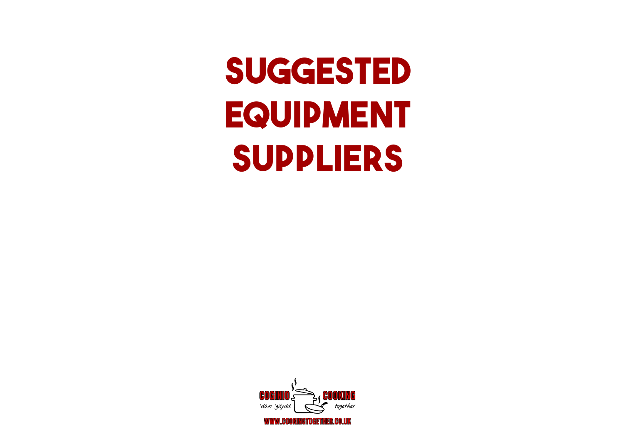## **SUGGESTED EQUIPMENT SUPPLIERS**

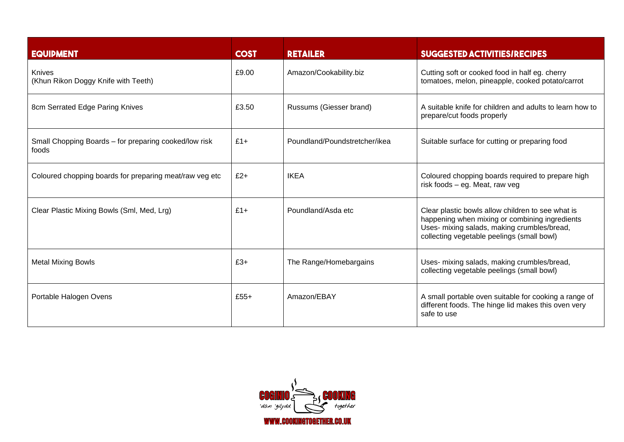| <b>EQUIPMENT</b>                                               | <b>COST</b> | <b>RETAILER</b>               | <b>SUGGESTED ACTIVITIES/RECIPES</b>                                                                                                                                                              |
|----------------------------------------------------------------|-------------|-------------------------------|--------------------------------------------------------------------------------------------------------------------------------------------------------------------------------------------------|
| Knives<br>(Khun Rikon Doggy Knife with Teeth)                  | £9.00       | Amazon/Cookability.biz        | Cutting soft or cooked food in half eg. cherry<br>tomatoes, melon, pineapple, cooked potato/carrot                                                                                               |
| 8cm Serrated Edge Paring Knives                                | £3.50       | Russums (Giesser brand)       | A suitable knife for children and adults to learn how to<br>prepare/cut foods properly                                                                                                           |
| Small Chopping Boards – for preparing cooked/low risk<br>foods | $£1+$       | Poundland/Poundstretcher/ikea | Suitable surface for cutting or preparing food                                                                                                                                                   |
| Coloured chopping boards for preparing meat/raw veg etc        | $£2+$       | <b>IKEA</b>                   | Coloured chopping boards required to prepare high<br>risk foods - eg. Meat, raw veg                                                                                                              |
| Clear Plastic Mixing Bowls (Sml, Med, Lrg)                     | $£1+$       | Poundland/Asda etc.           | Clear plastic bowls allow children to see what is<br>happening when mixing or combining ingredients<br>Uses- mixing salads, making crumbles/bread,<br>collecting vegetable peelings (small bowl) |
| <b>Metal Mixing Bowls</b>                                      | $£3+$       | The Range/Homebargains        | Uses- mixing salads, making crumbles/bread,<br>collecting vegetable peelings (small bowl)                                                                                                        |
| Portable Halogen Ovens                                         | $£55+$      | Amazon/EBAY                   | A small portable oven suitable for cooking a range of<br>different foods. The hinge lid makes this oven very<br>safe to use                                                                      |